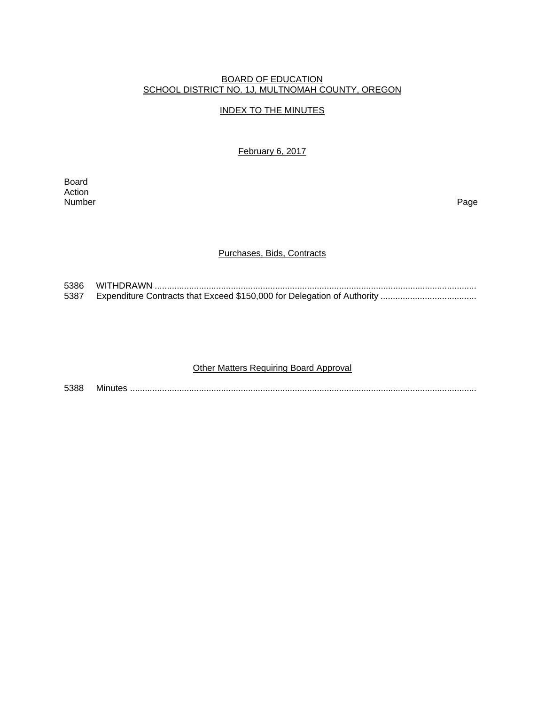#### BOARD OF EDUCATION SCHOOL DISTRICT NO. 1J, MULTNOMAH COUNTY, OREGON

# INDEX TO THE MINUTES

February 6, 2017

Board Action<br>Number Number Page

#### Purchases, Bids, Contracts

5386 WITHDRAWN ................................................................................................................................... 5387 Expenditure Contracts that Exceed \$150,000 for Delegation of Authority ..................................

#### **Other Matters Requiring Board Approval**

5388 Minutes .............................................................................................................................................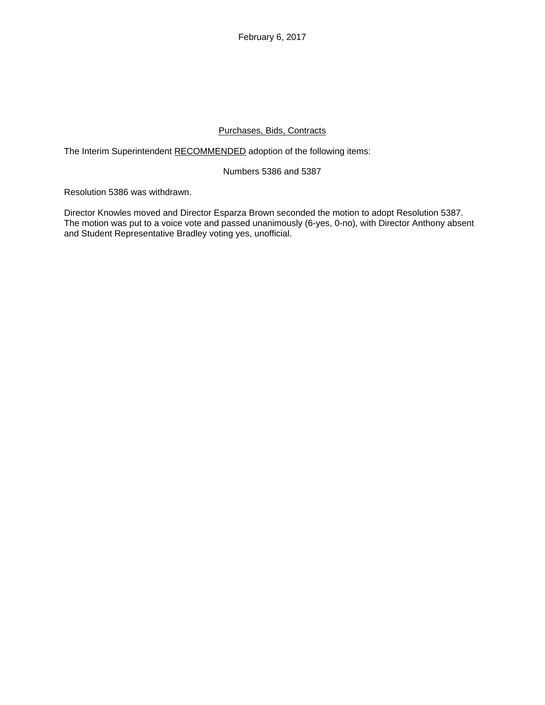# Purchases, Bids, Contracts

The Interim Superintendent RECOMMENDED adoption of the following items:

#### Numbers 5386 and 5387

Resolution 5386 was withdrawn.

Director Knowles moved and Director Esparza Brown seconded the motion to adopt Resolution 5387. The motion was put to a voice vote and passed unanimously (6-yes, 0-no), with Director Anthony absent and Student Representative Bradley voting yes, unofficial.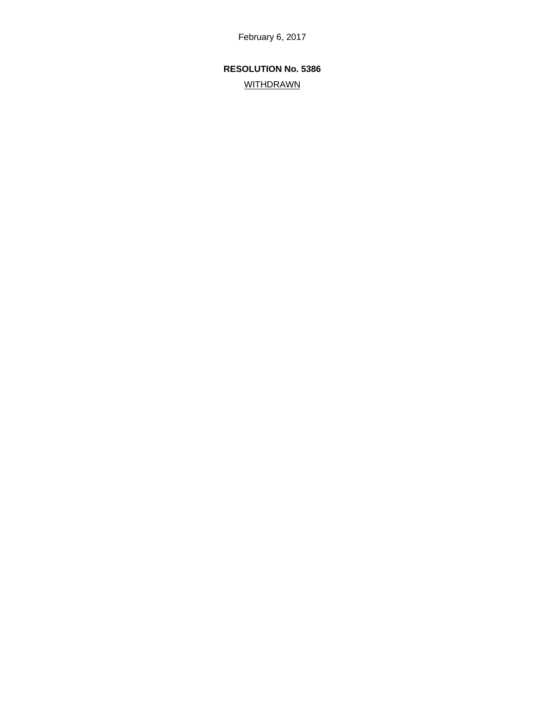# **RESOLUTION No. 5386**

# **WITHDRAWN**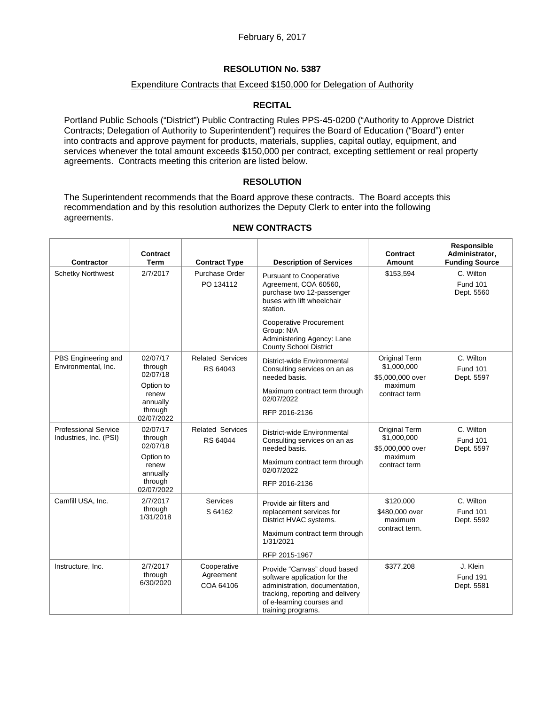# **RESOLUTION No. 5387**

### Expenditure Contracts that Exceed \$150,000 for Delegation of Authority

# **RECITAL**

Portland Public Schools ("District") Public Contracting Rules PPS-45-0200 ("Authority to Approve District Contracts; Delegation of Authority to Superintendent") requires the Board of Education ("Board") enter into contracts and approve payment for products, materials, supplies, capital outlay, equipment, and services whenever the total amount exceeds \$150,000 per contract, excepting settlement or real property agreements. Contracts meeting this criterion are listed below.

# **RESOLUTION**

The Superintendent recommends that the Board approve these contracts. The Board accepts this recommendation and by this resolution authorizes the Deputy Clerk to enter into the following agreements.

 $\overline{1}$ 

| <b>Contractor</b>                                     | <b>Contract</b><br><b>Term</b>                                                             | <b>Contract Type</b>                  | <b>Description of Services</b>                                                                                                                                                        | Contract<br>Amount                                                                  | Responsible<br>Administrator,<br><b>Funding Source</b> |
|-------------------------------------------------------|--------------------------------------------------------------------------------------------|---------------------------------------|---------------------------------------------------------------------------------------------------------------------------------------------------------------------------------------|-------------------------------------------------------------------------------------|--------------------------------------------------------|
| <b>Schetky Northwest</b>                              | 2/7/2017                                                                                   | Purchase Order<br>PO 134112           | <b>Pursuant to Cooperative</b><br>Agreement, COA 60560,<br>purchase two 12-passenger<br>buses with lift wheelchair<br>station.                                                        | \$153,594                                                                           | C. Wilton<br><b>Fund 101</b><br>Dept. 5560             |
|                                                       |                                                                                            |                                       | <b>Cooperative Procurement</b><br>Group: N/A<br>Administering Agency: Lane<br><b>County School District</b>                                                                           |                                                                                     |                                                        |
| PBS Engineering and<br>Environmental, Inc.            | 02/07/17<br>through<br>02/07/18                                                            | <b>Related Services</b><br>RS 64043   | District-wide Environmental<br>Consulting services on an as<br>needed basis.                                                                                                          | Original Term<br>\$1,000,000<br>\$5,000,000 over<br>maximum<br>contract term        | C. Wilton<br><b>Fund 101</b><br>Dept. 5597             |
|                                                       | Option to<br>renew<br>annually<br>through<br>02/07/2022                                    |                                       | Maximum contract term through<br>02/07/2022<br>RFP 2016-2136                                                                                                                          |                                                                                     |                                                        |
| <b>Professional Service</b><br>Industries, Inc. (PSI) | 02/07/17<br>through<br>02/07/18<br>Option to<br>renew<br>annually<br>through<br>02/07/2022 | <b>Related Services</b><br>RS 64044   | District-wide Environmental<br>Consulting services on an as<br>needed basis.<br>Maximum contract term through<br>02/07/2022<br>RFP 2016-2136                                          | <b>Original Term</b><br>\$1,000,000<br>\$5,000,000 over<br>maximum<br>contract term | C. Wilton<br><b>Fund 101</b><br>Dept. 5597             |
| Camfill USA, Inc.                                     | 2/7/2017<br>through<br>1/31/2018                                                           | <b>Services</b><br>S 64162            | Provide air filters and<br>replacement services for<br>District HVAC systems.<br>Maximum contract term through<br>1/31/2021<br>RFP 2015-1967                                          | \$120,000<br>\$480,000 over<br>maximum<br>contract term.                            | C. Wilton<br><b>Fund 101</b><br>Dept. 5592             |
| Instructure, Inc.                                     | 2/7/2017<br>through<br>6/30/2020                                                           | Cooperative<br>Agreement<br>COA 64106 | Provide "Canvas" cloud based<br>software application for the<br>administration, documentation,<br>tracking, reporting and delivery<br>of e-learning courses and<br>training programs. | \$377,208                                                                           | J. Klein<br><b>Fund 191</b><br>Dept. 5581              |

# **NEW CONTRACTS**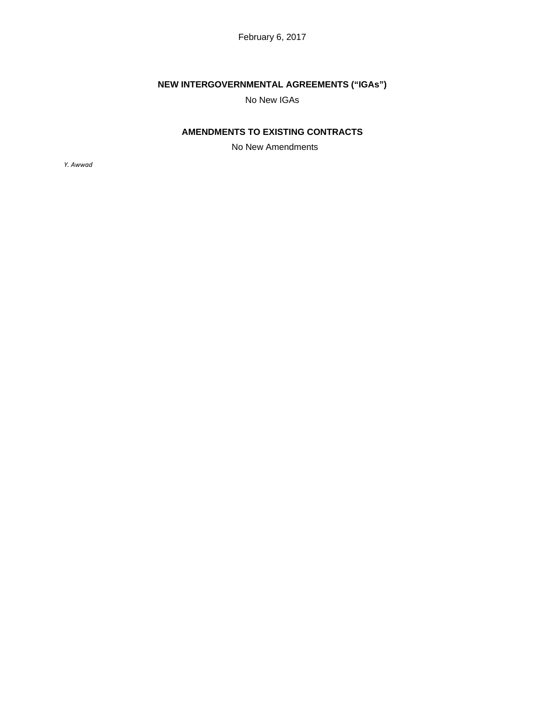# **NEW INTERGOVERNMENTAL AGREEMENTS ("IGAs")**

No New IGAs

# **AMENDMENTS TO EXISTING CONTRACTS**

No New Amendments

*Y. Awwad*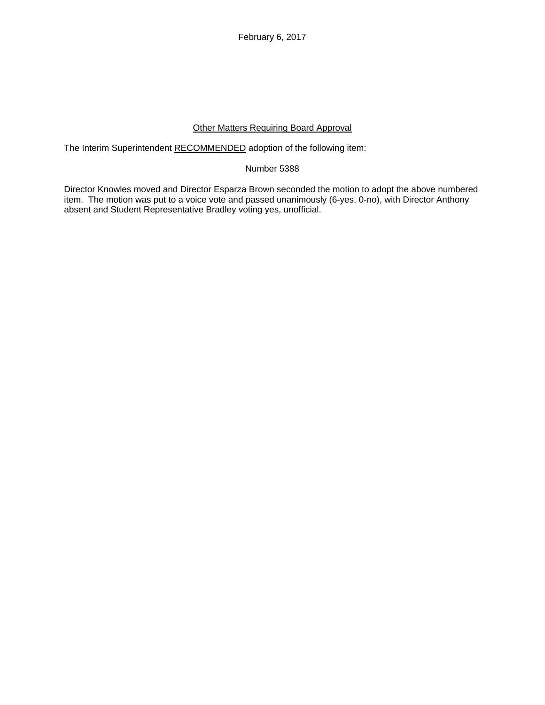# Other Matters Requiring Board Approval

The Interim Superintendent RECOMMENDED adoption of the following item:

Number 5388

Director Knowles moved and Director Esparza Brown seconded the motion to adopt the above numbered item. The motion was put to a voice vote and passed unanimously (6-yes, 0-no), with Director Anthony absent and Student Representative Bradley voting yes, unofficial.